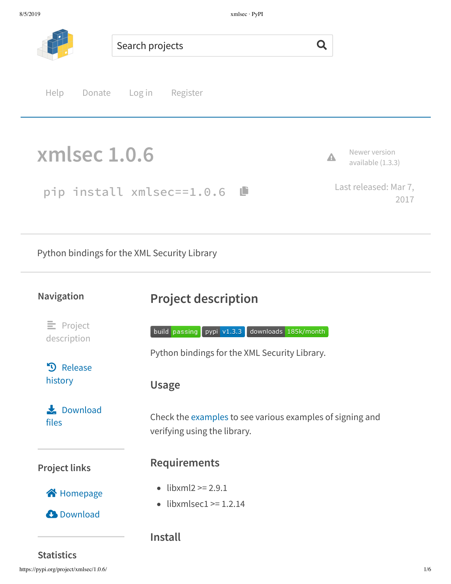

- $\text{likm12} > 2.9.1$
- $\bullet$  libxmlsec1 >= 1.2.14

**C** Download

ŝ Homepage

**Install**

**Statistics**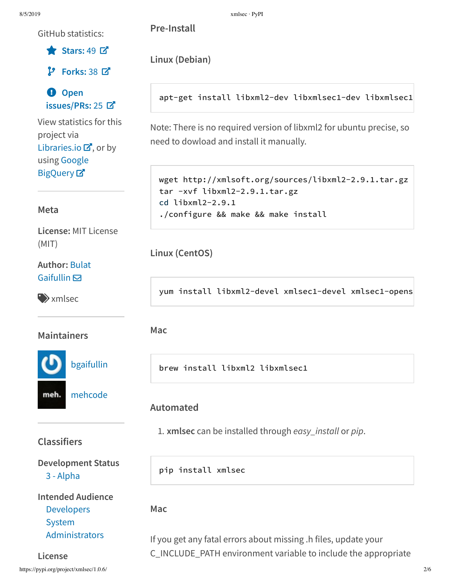GitHub statistics:

Stars: 49  $\n **z**$ 

 $P$  Forks: 38  $R$ 

**O** Open issues/PRs: 25 Z

View statistics for this project via Libraries.io  $\mathbf{Z}$ , or by using Google BigQuery<sup>[2]</sup>

#### Meta

License: MIT License  $(MIT)$ 

#### **Author: Bulat** Gaifullin $\boxdot$

 $\rightarrow$  xmlsec

**Maintainers** 

bgaifullin

mehcode meh.

## **Classifiers**

**Development Status** 3 - Alpha

# **Intended Audience Developers** System

Administrators

License https://pypi.org/project/xmlsec/1.0.6/ Pre-Install

Linux (Debian)

apt-get install libxml2-dev libxmlsec1-dev libxmlsec1

Note: There is no required version of libxml2 for ubuntu precise, so need to dowload and install it manually.

```
wget http://xmlsoft.org/sources/libxml2-2.9.1.tar.gz
tar -xvf libxml2-2.9.1.tar.gz
cd libxml2-2.9.1
./configure && make && make install
```
Linux (CentOS)

yum install libxml2-devel xmlsec1-devel xmlsec1-opens

Mac

brew install libxml2 libxmlsec1

## Automated

1. xmlsec can be installed through easy\_install or pip.

pip install xmlsec

Mac

If you get any fatal errors about missing .h files, update your C\_INCLUDE\_PATH environment variable to include the appropriate

 $2/6$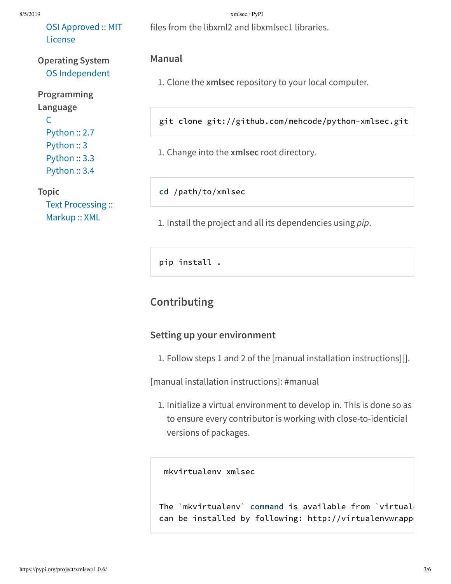#### 8/5/2019 xmlsec · PyPI

OSI Approved :: MIT License

### **Operating System** OS Independent

**Programming Language**  $\mathsf{C}$ Python :: 2.7 Python :: 3 Python :: 3.3 Python :: 3.4

#### **Topic**

Text Processing :: Markup :: XML

files from the libxml2 and libxmlsec1 libraries.

#### **Manual**

1. Clone the **xmlsec** repository to your local computer.

git clone git://github.com/mehcode/python-xmlsec.git

1. Change into the **xmlsec** root directory.

cd /path/to/xmlsec

1. Install the project and all its dependencies using *pip*.

pip install .

## **Contributing**

#### **Setting up your environment**

1. Follow steps 1 and 2 of the [manual installation instructions][].

[manual installation instructions]: #manual

1. Initialize a virtual environment to develop in. This is done so as to ensure every contributor is working with close-to-identicial versions of packages.

mkvirtualenv xmlsec

The `mkvirtualenv` command is available from `virtual can be installed by following: http://virtualenvwrapp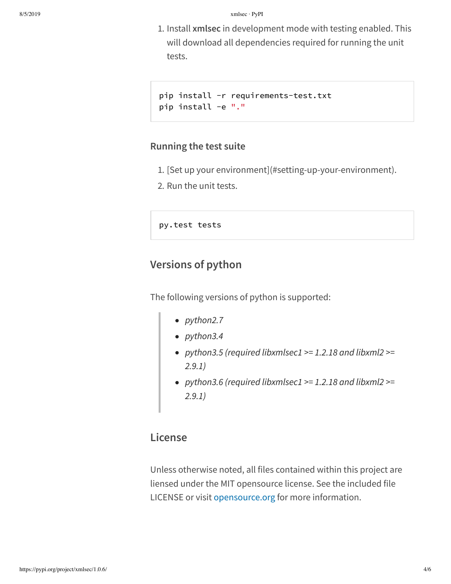1. Install **xmlsec** in development mode with testing enabled. This will download all dependencies required for running the unit tests.

```
pip install -r requirements-test.txt
pip install -e "."
```
#### **Running the test suite**

- 1. [Set up your environment](#setting-up-your-environment).
- 2. Run the unit tests.

py.test tests

## **Versions of python**

The following versions of python is supported:

- *python2.7*
- *python3.4*
- *python3.5 (required libxmlsec1 >= 1.2.18 and libxml2 >= 2.9.1)*
- *python3.6 (required libxmlsec1 >= 1.2.18 and libxml2 >= 2.9.1)*

## **License**

Unless otherwise noted, all files contained within this project are liensed under the MIT opensource license. See the included file LICENSE or visit opensource.org for more information.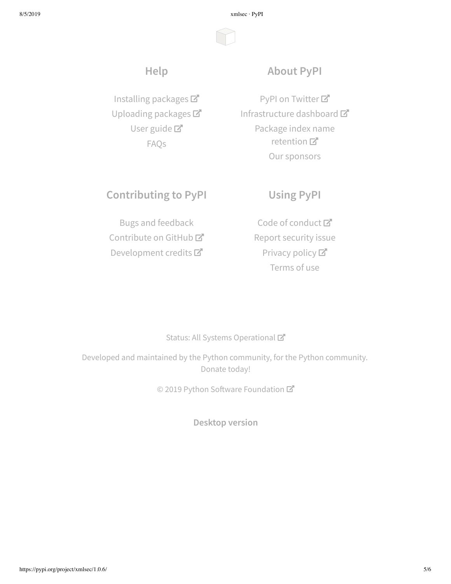8/5/2019 xmlsec · PyPI

# **Help**

Installing packages Uploading packages User guide<sup>T</sup> FAQs

## **About PyPI**

PyPI on Twitter<sup>7</sup> Infrastructure dashboard Package index name retention 口 Our sponsors

## **Contributing to PyPI**

# Bugs and feedback

Contribute on GitHub<sup>C</sup> Development credits

Code of conduct<sup>™</sup> Report security issue Privacy policy<sup>[2]</sup> Terms of use

**Using PyPI**

#### Status: All Systems Operational

Developed and maintained by the Python community, for the Python community. Donate today!

© 2019 Python Software Foundation

**Desktop version**